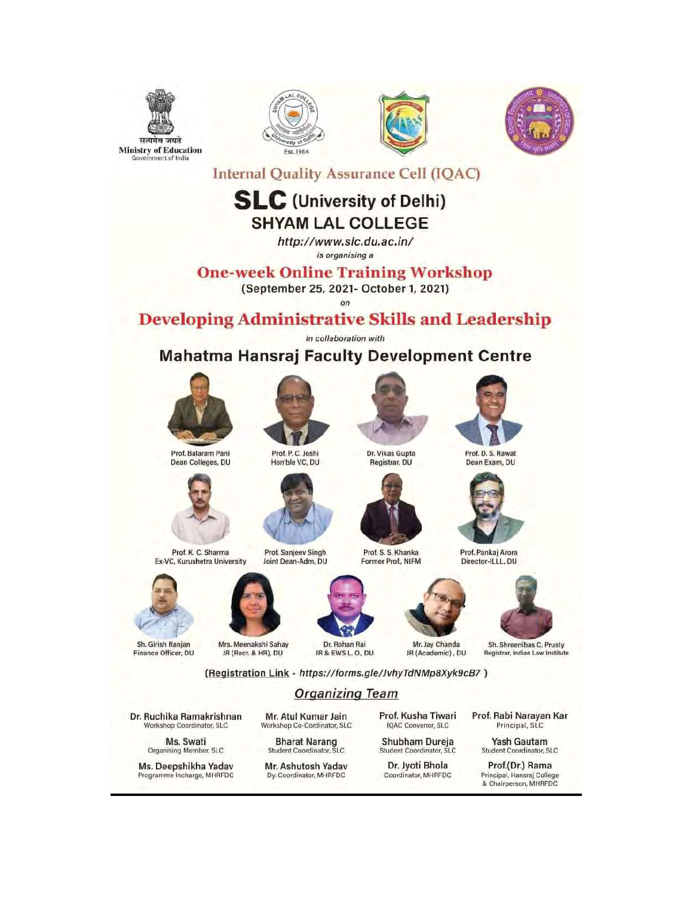







**Internal Quality Assurance Cell (IQAC)** 

#### **SLC** (University of Delhi) **SHYAM LAL COLLEGE**

http://www.slc.du.ac.in/ is organising a

**One-week Online Training Workshop** 

(September 25, 2021- October 1, 2021)

**Developing Administrative Skills and Leadership** 

In collaboration with

#### **Mahatma Hansraj Faculty Development Centre**







Dr. Vikas Gupta Registrar, DU



Prof. D. S. Rawat Dean Exam, DU



Prof. Pankai Arora Director-ILLL, DU



Sh. Shreenibas C. Prusty Registrar, Indian Law Institute

(Registration Link - https://forms.gle/JvhyTdNMp8Xyk9cB7)

#### **Organizing Team**

Dr. Ruchika Ramakrishnan Workshop Coordinator, SLC

Sh. Girish Ranjan

Finance Officer, DU

Ms. Swati Organising Member, SLC

Ms. Deepshikha Yadav Programme Incharge, MHRFDC

Mr. Atul Kumar Jain Workshop Co-Cordinator, SLC

**Bharat Narang**<br>Student Coordinator, SLC

Mr. Ashutosh Yadav Dy. Coordinator, MHRFDC

Prof. Kusha Tiwari IQAC Convenor, SLC

Shubham Dureja Student Coordinator, SLC

Dr. Jyoti Bhola Coordinator, MHRFDC Prof. Rabi Narayan Kar Principal, SLC

Yash Gautam Student Coordinator, SLC

Prof.(Dr.) Rama Principal, Hansraj College & Chairperson, MHRFDC



Mrs. Meenakshi Sahay

JR (Recr. & HR), DU





Dr. Rohan Rai

JR & EWS L.O., DU JR (Academic), DU

Prof. S. S. Khanka

Former Prof., NIFM

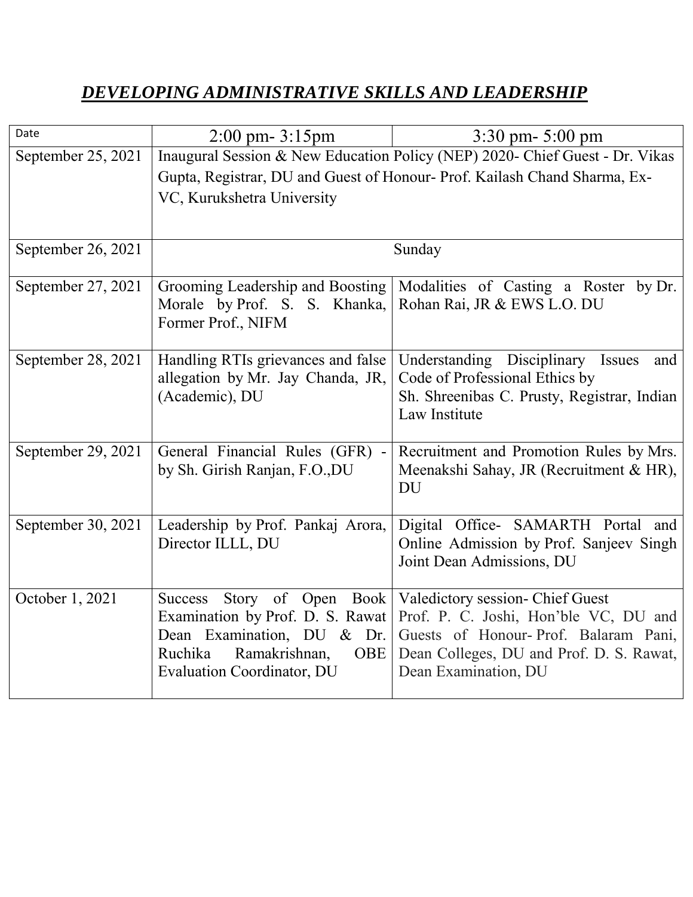#### *DEVELOPING ADMINISTRATIVE SKILLS AND LEADERSHIP*

| Date               | $2:00 \text{ pm} - 3:15 \text{ pm}$                                          | $3:30$ pm- $5:00$ pm                        |
|--------------------|------------------------------------------------------------------------------|---------------------------------------------|
| September 25, 2021 | Inaugural Session & New Education Policy (NEP) 2020- Chief Guest - Dr. Vikas |                                             |
|                    | Gupta, Registrar, DU and Guest of Honour- Prof. Kailash Chand Sharma, Ex-    |                                             |
|                    | VC, Kurukshetra University                                                   |                                             |
|                    |                                                                              |                                             |
| September 26, 2021 | Sunday                                                                       |                                             |
| September 27, 2021 | Grooming Leadership and Boosting                                             | Modalities of Casting a Roster by Dr.       |
|                    | Morale by Prof. S. S. Khanka,                                                | Rohan Rai, JR & EWS L.O. DU                 |
|                    | Former Prof., NIFM                                                           |                                             |
| September 28, 2021 | Handling RTIs grievances and false                                           | Understanding Disciplinary Issues<br>and    |
|                    | allegation by Mr. Jay Chanda, JR,                                            | Code of Professional Ethics by              |
|                    | (Academic), DU                                                               | Sh. Shreenibas C. Prusty, Registrar, Indian |
|                    |                                                                              | Law Institute                               |
| September 29, 2021 | General Financial Rules (GFR) -                                              | Recruitment and Promotion Rules by Mrs.     |
|                    | by Sh. Girish Ranjan, F.O.,DU                                                | Meenakshi Sahay, JR (Recruitment & HR),     |
|                    |                                                                              | DU                                          |
| September 30, 2021 | Leadership by Prof. Pankaj Arora,                                            | Digital Office- SAMARTH Portal and          |
|                    | Director ILLL, DU                                                            | Online Admission by Prof. Sanjeev Singh     |
|                    |                                                                              | Joint Dean Admissions, DU                   |
| October 1, 2021    | Story of Open Book<br><b>Success</b>                                         | Valedictory session- Chief Guest            |
|                    | Examination by Prof. D. S. Rawat                                             | Prof. P. C. Joshi, Hon'ble VC, DU and       |
|                    | Dean Examination, DU & Dr.                                                   | Guests of Honour-Prof. Balaram Pani,        |
|                    | Ramakrishnan,<br><b>OBE</b><br>Ruchika                                       | Dean Colleges, DU and Prof. D. S. Rawat,    |
|                    | <b>Evaluation Coordinator, DU</b>                                            | Dean Examination, DU                        |
|                    |                                                                              |                                             |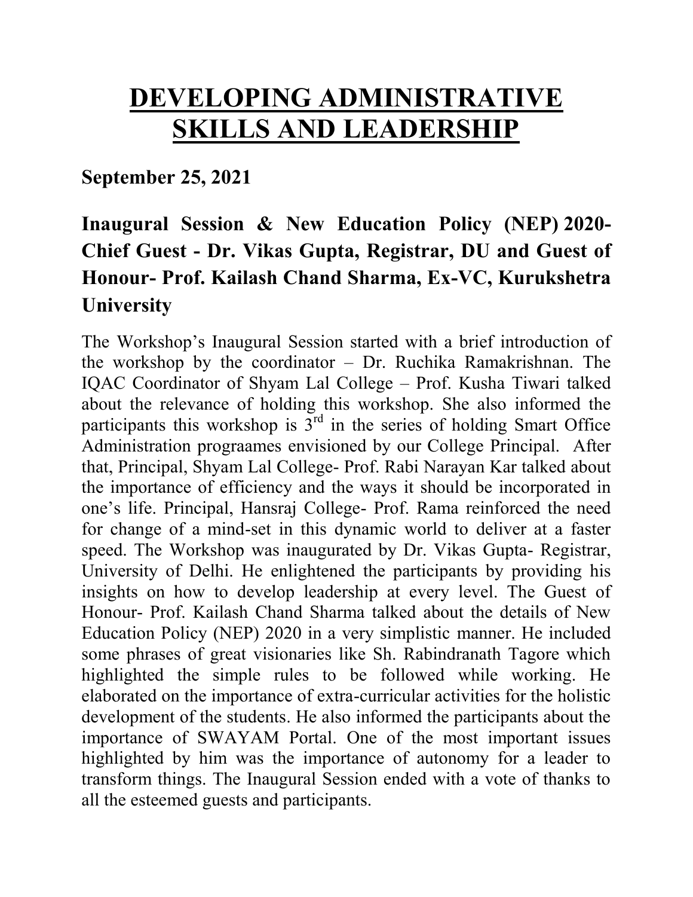# **DEVELOPING ADMINISTRATIVE SKILLS AND LEADERSHIP**

**September 25, 2021** 

### **Inaugural Session & New Education Policy (NEP) 2020- Chief Guest - Dr. Vikas Gupta, Registrar, DU and Guest of Honour- Prof. Kailash Chand Sharma, Ex-VC, Kurukshetra University**

The Workshop's Inaugural Session started with a brief introduction of the workshop by the coordinator – Dr. Ruchika Ramakrishnan. The IQAC Coordinator of Shyam Lal College – Prof. Kusha Tiwari talked about the relevance of holding this workshop. She also informed the participants this workshop is  $3<sup>rd</sup>$  in the series of holding Smart Office Administration prograames envisioned by our College Principal. After that, Principal, Shyam Lal College- Prof. Rabi Narayan Kar talked about the importance of efficiency and the ways it should be incorporated in one's life. Principal, Hansraj College- Prof. Rama reinforced the need for change of a mind-set in this dynamic world to deliver at a faster speed. The Workshop was inaugurated by Dr. Vikas Gupta- Registrar, University of Delhi. He enlightened the participants by providing his insights on how to develop leadership at every level. The Guest of Honour- Prof. Kailash Chand Sharma talked about the details of New Education Policy (NEP) 2020 in a very simplistic manner. He included some phrases of great visionaries like Sh. Rabindranath Tagore which highlighted the simple rules to be followed while working. He elaborated on the importance of extra-curricular activities for the holistic development of the students. He also informed the participants about the importance of SWAYAM Portal. One of the most important issues highlighted by him was the importance of autonomy for a leader to transform things. The Inaugural Session ended with a vote of thanks to all the esteemed guests and participants.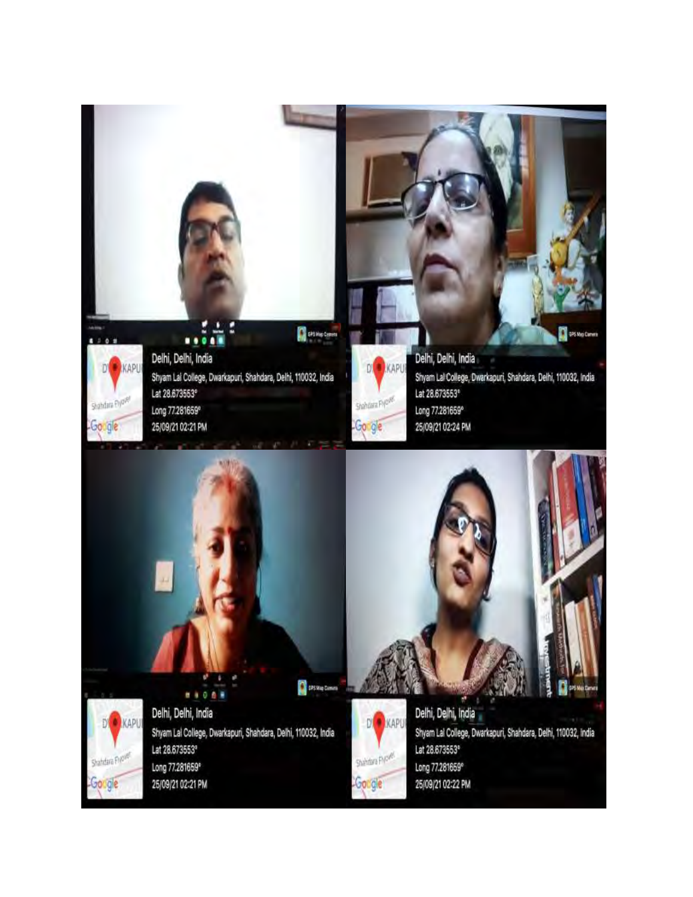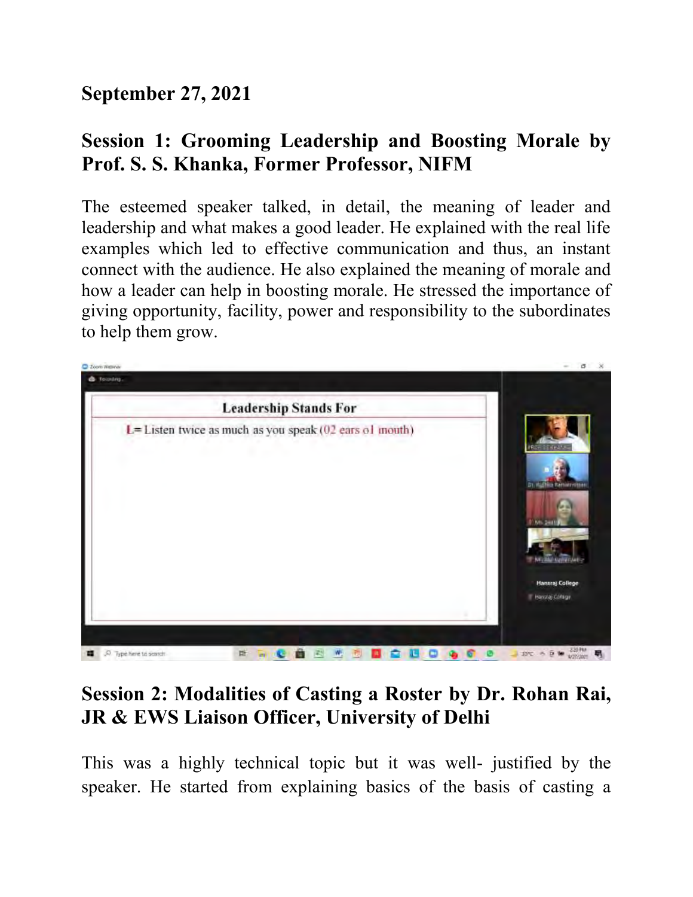### **September 27, 2021**

### **Session 1: Grooming Leadership and Boosting Morale by Prof. S. S. Khanka, Former Professor, NIFM**

The esteemed speaker talked, in detail, the meaning of leader and leadership and what makes a good leader. He explained with the real life examples which led to effective communication and thus, an instant connect with the audience. He also explained the meaning of morale and how a leader can help in boosting morale. He stressed the importance of giving opportunity, facility, power and responsibility to the subordinates to help them grow.



### **Session 2: Modalities of Casting a Roster by Dr. Rohan Rai, JR & EWS Liaison Officer, University of Delhi**

This was a highly technical topic but it was well- justified by the speaker. He started from explaining basics of the basis of casting a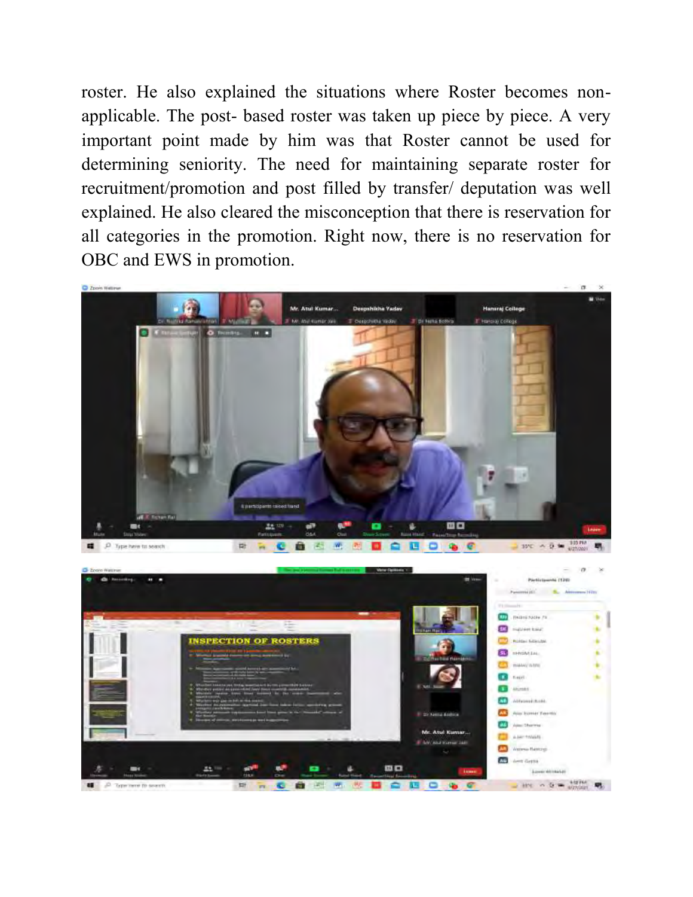roster. He also explained the situations where Roster becomes nonapplicable. The post- based roster was taken up piece by piece. A very important point made by him was that Roster cannot be used for determining seniority. The need for maintaining separate roster for recruitment/promotion and post filled by transfer/ deputation was well explained. He also cleared the misconception that there is reservation for all categories in the promotion. Right now, there is no reservation for OBC and EWS in promotion.



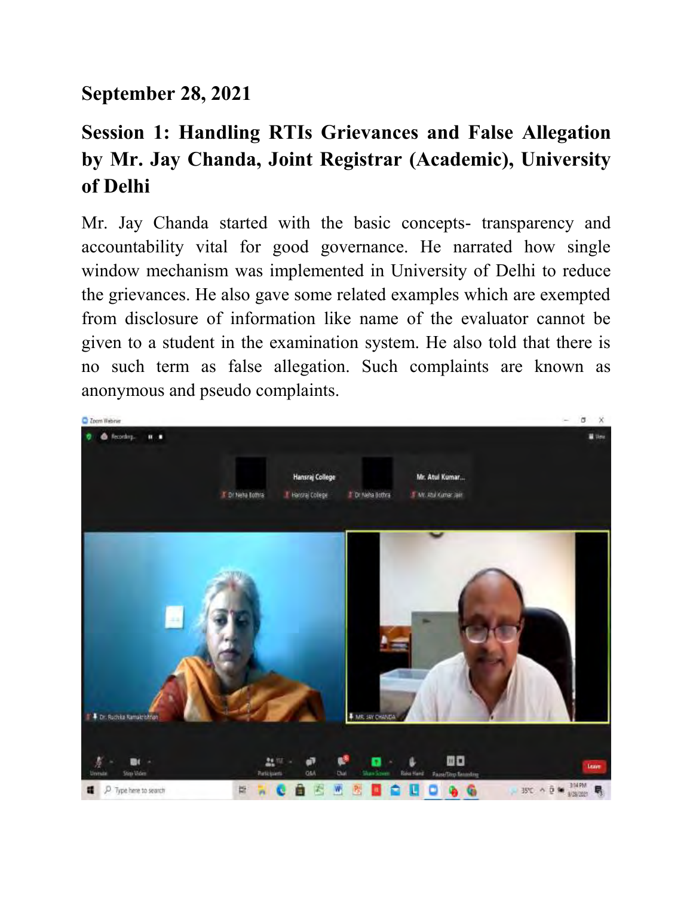#### **September 28, 2021**

## **Session 1: Handling RTIs Grievances and False Allegation by Mr. Jay Chanda, Joint Registrar (Academic), University of Delhi**

Mr. Jay Chanda started with the basic concepts- transparency and accountability vital for good governance. He narrated how single window mechanism was implemented in University of Delhi to reduce the grievances. He also gave some related examples which are exempted from disclosure of information like name of the evaluator cannot be given to a student in the examination system. He also told that there is no such term as false allegation. Such complaints are known as anonymous and pseudo complaints.

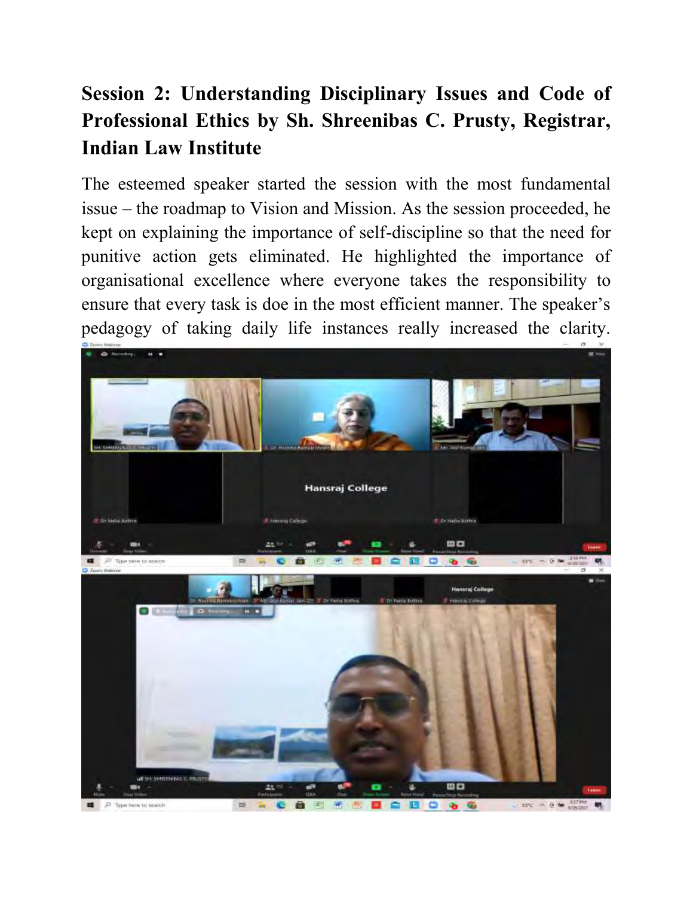### **Session 2: Understanding Disciplinary Issues and Code of Professional Ethics by Sh. Shreenibas C. Prusty, Registrar, Indian Law Institute**

The esteemed speaker started the session with the most fundamental issue – the roadmap to Vision and Mission. As the session proceeded, he kept on explaining the importance of self-discipline so that the need for punitive action gets eliminated. He highlighted the importance of organisational excellence where everyone takes the responsibility to ensure that every task is doe in the most efficient manner. The speaker's pedagogy of taking daily life instances really increased the clarity.

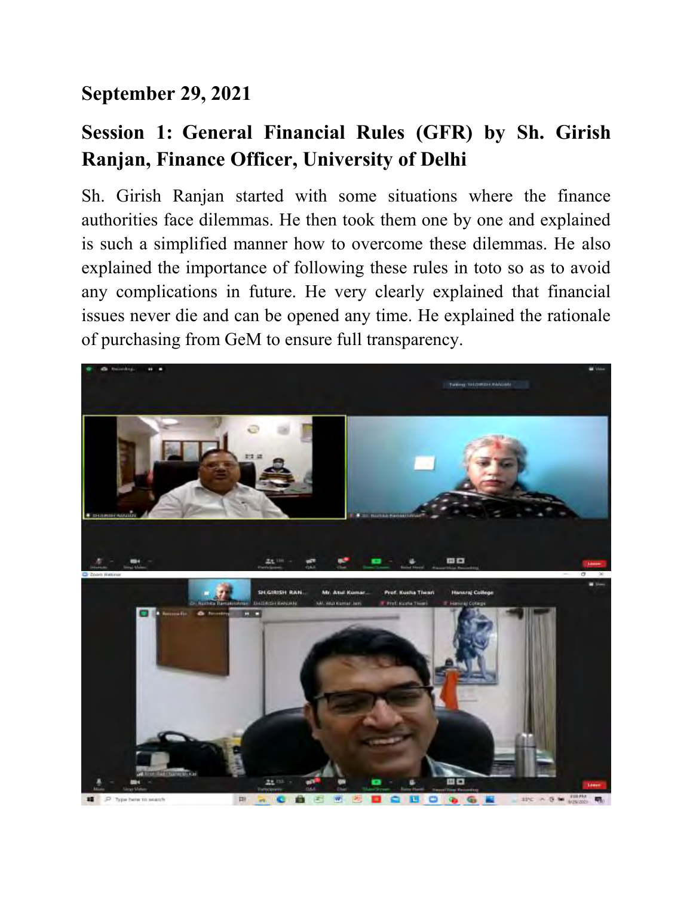### **September 29, 2021**

### **Session 1: General Financial Rules (GFR) by Sh. Girish Ranjan, Finance Officer, University of Delhi**

Sh. Girish Ranjan started with some situations where the finance authorities face dilemmas. He then took them one by one and explained is such a simplified manner how to overcome these dilemmas. He also explained the importance of following these rules in toto so as to avoid any complications in future. He very clearly explained that financial issues never die and can be opened any time. He explained the rationale of purchasing from GeM to ensure full transparency.

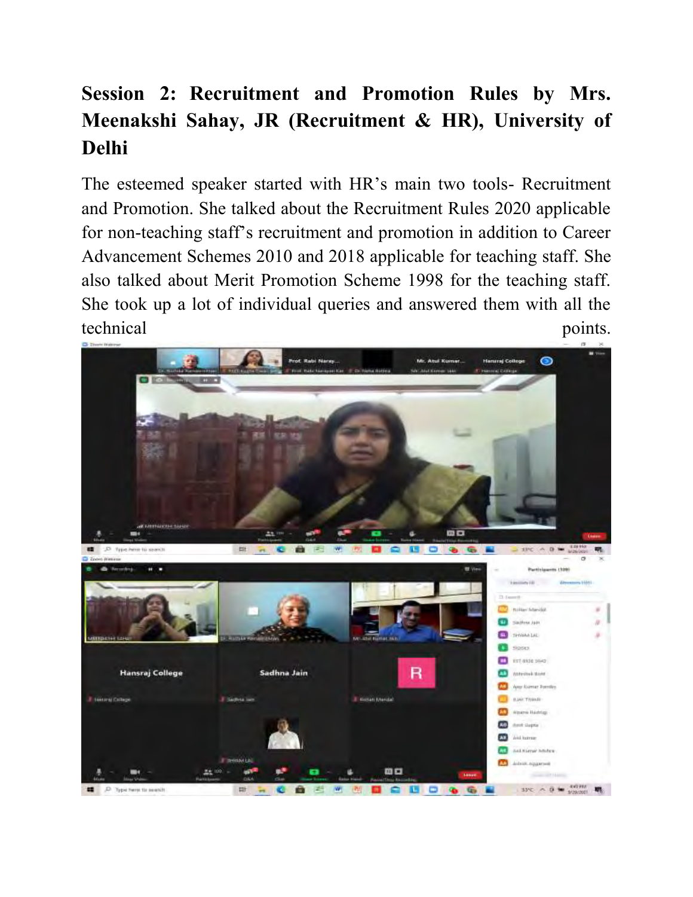## **Session 2: Recruitment and Promotion Rules by Mrs. Meenakshi Sahay, JR (Recruitment & HR), University of Delhi**

The esteemed speaker started with HR's main two tools- Recruitment and Promotion. She talked about the Recruitment Rules 2020 applicable for non-teaching staff's recruitment and promotion in addition to Career Advancement Schemes 2010 and 2018 applicable for teaching staff. She also talked about Merit Promotion Scheme 1998 for the teaching staff. She took up a lot of individual queries and answered them with all the technical points.

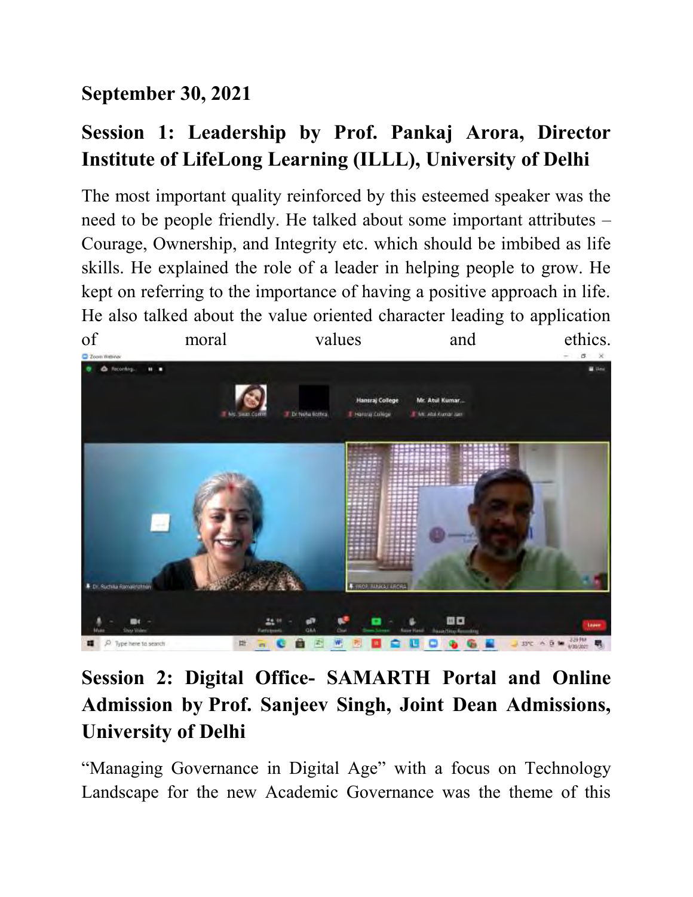### **September 30, 2021**

### **Session 1: Leadership by Prof. Pankaj Arora, Director Institute of LifeLong Learning (ILLL), University of Delhi**

The most important quality reinforced by this esteemed speaker was the need to be people friendly. He talked about some important attributes – Courage, Ownership, and Integrity etc. which should be imbibed as life skills. He explained the role of a leader in helping people to grow. He kept on referring to the importance of having a positive approach in life. He also talked about the value oriented character leading to application



**Session 2: Digital Office- SAMARTH Portal and Online Admission by Prof. Sanjeev Singh, Joint Dean Admissions, University of Delhi** 

"Managing Governance in Digital Age" with a focus on Technology Landscape for the new Academic Governance was the theme of this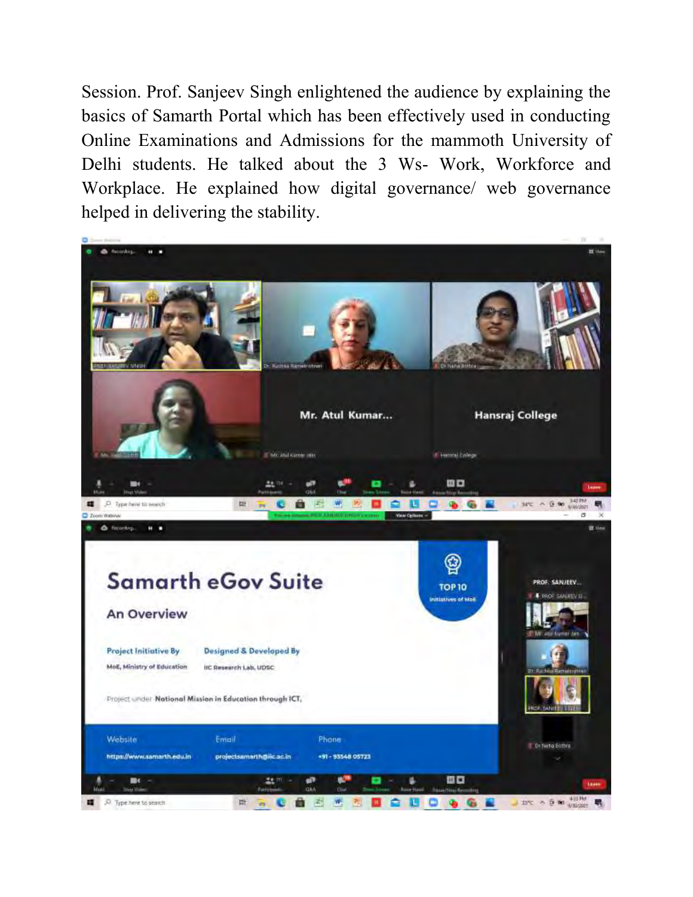Session. Prof. Sanjeev Singh enlightened the audience by explaining the basics of Samarth Portal which has been effectively used in conducting Online Examinations and Admissions for the mammoth University of Delhi students. He talked about the 3 Ws- Work, Workforce and Workplace. He explained how digital governance/ web governance helped in delivering the stability.

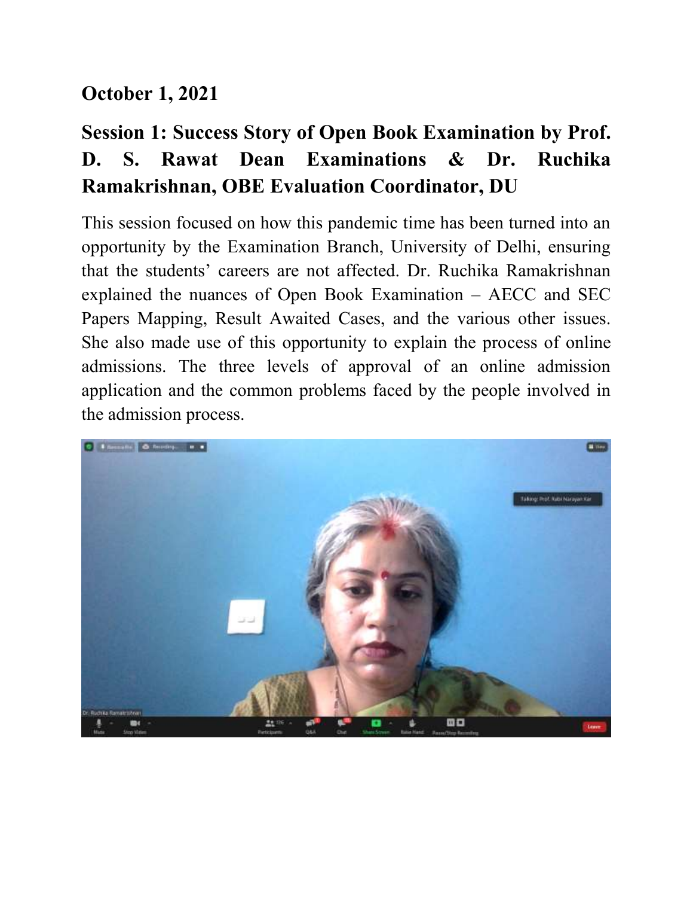### **October 1, 2021**

## **Session 1: Success Story of Open Book Examination by Prof. D. S. Rawat Dean Examinations & Dr. Ruchika Ramakrishnan, OBE Evaluation Coordinator, DU**

This session focused on how this pandemic time has been turned into an opportunity by the Examination Branch, University of Delhi, ensuring that the students' careers are not affected. Dr. Ruchika Ramakrishnan explained the nuances of Open Book Examination – AECC and SEC Papers Mapping, Result Awaited Cases, and the various other issues. She also made use of this opportunity to explain the process of online admissions. The three levels of approval of an online admission application and the common problems faced by the people involved in the admission process.

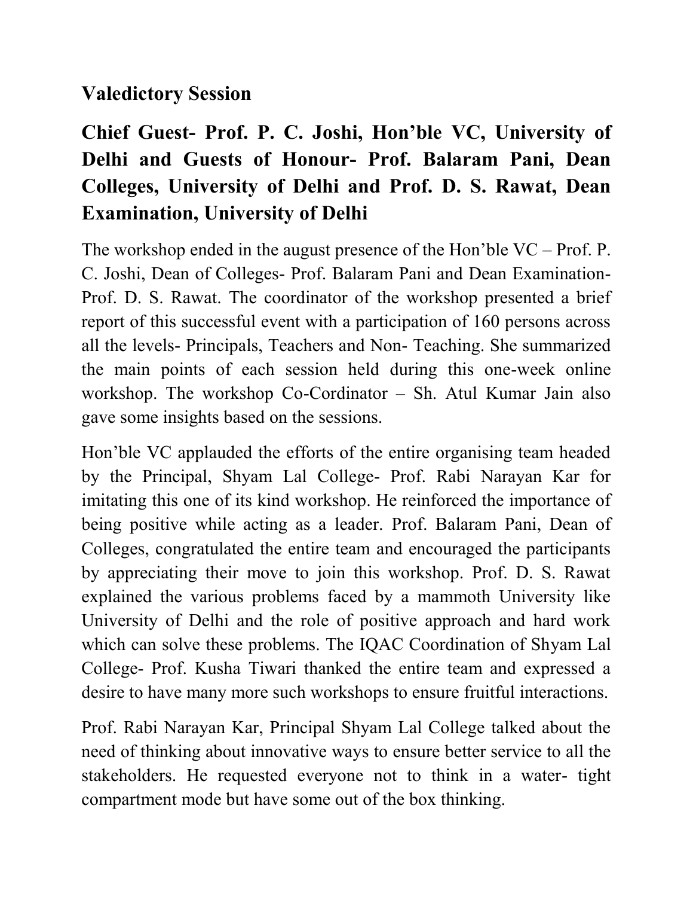### **Valedictory Session**

## **Chief Guest- Prof. P. C. Joshi, Hon'ble VC, University of Delhi and Guests of Honour- Prof. Balaram Pani, Dean Colleges, University of Delhi and Prof. D. S. Rawat, Dean Examination, University of Delhi**

The workshop ended in the august presence of the Hon'ble VC – Prof. P. C. Joshi, Dean of Colleges- Prof. Balaram Pani and Dean Examination-Prof. D. S. Rawat. The coordinator of the workshop presented a brief report of this successful event with a participation of 160 persons across all the levels- Principals, Teachers and Non- Teaching. She summarized the main points of each session held during this one-week online workshop. The workshop Co-Cordinator – Sh. Atul Kumar Jain also gave some insights based on the sessions.

Hon'ble VC applauded the efforts of the entire organising team headed by the Principal, Shyam Lal College- Prof. Rabi Narayan Kar for imitating this one of its kind workshop. He reinforced the importance of being positive while acting as a leader. Prof. Balaram Pani, Dean of Colleges, congratulated the entire team and encouraged the participants by appreciating their move to join this workshop. Prof. D. S. Rawat explained the various problems faced by a mammoth University like University of Delhi and the role of positive approach and hard work which can solve these problems. The IQAC Coordination of Shyam Lal College- Prof. Kusha Tiwari thanked the entire team and expressed a desire to have many more such workshops to ensure fruitful interactions.

Prof. Rabi Narayan Kar, Principal Shyam Lal College talked about the need of thinking about innovative ways to ensure better service to all the stakeholders. He requested everyone not to think in a water- tight compartment mode but have some out of the box thinking.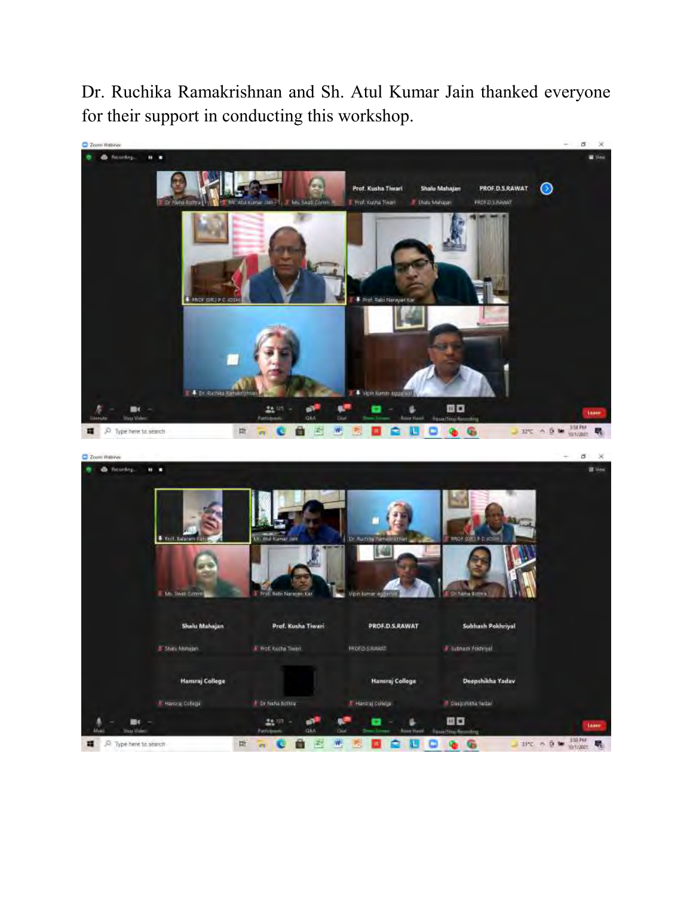Dr. Ruchika Ramakrishnan and Sh. Atul Kumar Jain thanked everyone for their support in conducting this workshop.